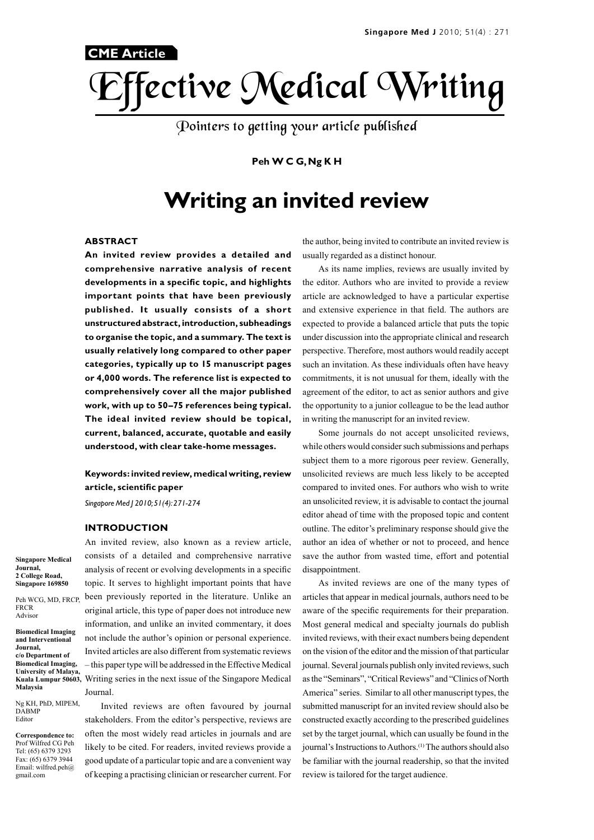

Pointers to getting your article published

# **Peh W C G, Ng K H**

# **Writing an invited review**

#### **ABSTRACT**

**An invited review provides a detailed and comprehensive narrative analysis of recent developments in a specific topic, and highlights important points that have been previously published. It usually consists of a short unstructured abstract, introduction, subheadings to organise the topic, and a summary. The text is usually relatively long compared to other paper categories, typically up to 15 manuscript pages or 4,000 words. The reference list is expected to comprehensively cover all the major published work, with up to 50–75 references being typical. The ideal invited review should be topical, current, balanced, accurate, quotable and easily understood, with clear take-home messages.** 

## **Keywords: invited review, medical writing, review article, scientific paper**

*Singapore Med J 2010; 51(4): 271-274*

### **INTRODUCTION**

**Singapore Medical Journal, 2 College Road, Singapore 169850**

Peh WCG, MD, FRCP, FRCR **Advisor** 

**Biomedical Imaging and Interventional Journal, c/o Department of Biomedical Imaging, University of Malaya, Malaysia**

Ng KH, PhD, MIPEM, DABMP Editor

**Correspondence to:** Prof Wilfred CG Peh Tel: (65) 6379 3293 Fax: (65) 6379 3944 Email: wilfred.peh@ gmail.com

An invited review, also known as a review article, consists of a detailed and comprehensive narrative analysis of recent or evolving developments in a specific topic. It serves to highlight important points that have been previously reported in the literature. Unlike an original article, this type of paper does not introduce new information, and unlike an invited commentary, it does not include the author's opinion or personal experience.

**Kuala Lumpur 50603,** Writing series in the next issue of the Singapore Medical Invited articles are also different from systematic reviews – this paper type will be addressed in the Effective Medical Journal.

> Invited reviews are often favoured by journal stakeholders. From the editor's perspective, reviews are often the most widely read articles in journals and are likely to be cited. For readers, invited reviews provide a good update of a particular topic and are a convenient way of keeping a practising clinician or researcher current. For

the author, being invited to contribute an invited review is usually regarded as a distinct honour.

As its name implies, reviews are usually invited by the editor. Authors who are invited to provide a review article are acknowledged to have a particular expertise and extensive experience in that field. The authors are expected to provide a balanced article that puts the topic under discussion into the appropriate clinical and research perspective. Therefore, most authors would readily accept such an invitation. As these individuals often have heavy commitments, it is not unusual for them, ideally with the agreement of the editor, to act as senior authors and give the opportunity to a junior colleague to be the lead author in writing the manuscript for an invited review.

Some journals do not accept unsolicited reviews, while others would consider such submissions and perhaps subject them to a more rigorous peer review. Generally, unsolicited reviews are much less likely to be accepted compared to invited ones. For authors who wish to write an unsolicited review, it is advisable to contact the journal editor ahead of time with the proposed topic and content outline. The editor's preliminary response should give the author an idea of whether or not to proceed, and hence save the author from wasted time, effort and potential disappointment.

As invited reviews are one of the many types of articles that appear in medical journals, authors need to be aware of the specific requirements for their preparation. Most general medical and specialty journals do publish invited reviews, with their exact numbers being dependent on the vision of the editor and the mission of that particular journal. Several journals publish only invited reviews, such as the "Seminars", "Critical Reviews" and "Clinics of North America" series. Similar to all other manuscript types, the submitted manuscript for an invited review should also be constructed exactly according to the prescribed guidelines set by the target journal, which can usually be found in the journal's Instructions to Authors.(1) The authors should also be familiar with the journal readership, so that the invited review is tailored for the target audience.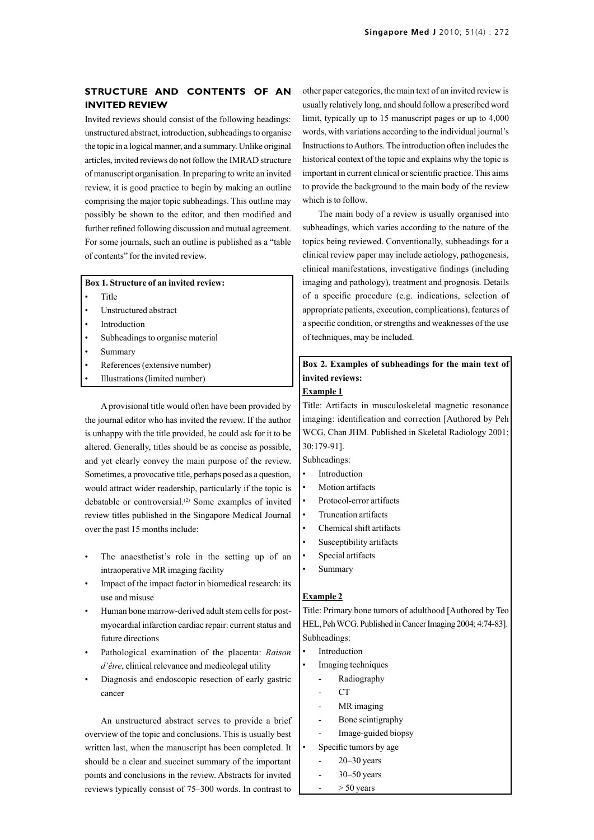# **STRUCTURE AND CONTENTS OF AN INVITED REVIEW**

Invited reviews should consist of the following headings: unstructured abstract, introduction, subheadings to organise the topic in a logical manner, and a summary. Unlike original articles, invited reviews do not follow the IMRAD structure of manuscript organisation. In preparing to write an invited review, it is good practice to begin by making an outline comprising the major topic subheadings. This outline may possibly be shown to the editor, and then modified and further refined following discussion and mutual agreement. For some journals, such an outline is published as a "table of contents" for the invited review.

## **Box 1. Structure of an invited review:**

- Title
- Unstructured abstract
- **Introduction**
- Subheadings to organise material
- **Summary**
- References (extensive number)
- Illustrations (limited number)

A provisional title would often have been provided by the journal editor who has invited the review. If the author is unhappy with the title provided, he could ask for it to be altered. Generally, titles should be as concise as possible, and yet clearly convey the main purpose of the review. Sometimes, a provocative title, perhaps posed as a question, would attract wider readership, particularly if the topic is debatable or controversial.(2) Some examples of invited review titles published in the Singapore Medical Journal over the past 15 months include:

- The anaesthetist's role in the setting up of an intraoperative MR imaging facility
- Impact of the impact factor in biomedical research: its use and misuse
- Human bone marrow-derived adult stem cells for postmyocardial infarction cardiac repair: current status and future directions
- Pathological examination of the placenta: *Raison d'être*, clinical relevance and medicolegal utility
- Diagnosis and endoscopic resection of early gastric cancer

An unstructured abstract serves to provide a brief overview of the topic and conclusions. This is usually best written last, when the manuscript has been completed. It should be a clear and succinct summary of the important points and conclusions in the review. Abstracts for invited reviews typically consist of 75–300 words. In contrast to

other paper categories, the main text of an invited review is usually relatively long, and should follow a prescribed word limit, typically up to 15 manuscript pages or up to 4,000 words, with variations according to the individual journal's Instructions to Authors. The introduction often includes the historical context of the topic and explains why the topic is important in current clinical or scientific practice. This aims to provide the background to the main body of the review which is to follow.

The main body of a review is usually organised into subheadings, which varies according to the nature of the topics being reviewed. Conventionally, subheadings for a clinical review paper may include aetiology, pathogenesis, clinical manifestations, investigative findings (including imaging and pathology), treatment and prognosis. Details of a specific procedure (e.g. indications, selection of appropriate patients, execution, complications), features of a specific condition, or strengths and weaknesses of the use of techniques, may be included.

# **Box 2. Examples of subheadings for the main text of invited reviews:**

## **Example 1**

Title: Artifacts in musculoskeletal magnetic resonance imaging: identification and correction [Authored by Peh WCG, Chan JHM. Published in Skeletal Radiology 2001; 30:179-91].

Subheadings:

- **Introduction**
- Motion artifacts
- Protocol-error artifacts
- Truncation artifacts
- Chemical shift artifacts
- Susceptibility artifacts
- Special artifacts
- Summary

## **Example 2**

Title: Primary bone tumors of adulthood [Authored by Teo HEL, Peh WCG. Published in Cancer Imaging 2004; 4:74-83]. Subheadings:

- **Introduction** 
	- Imaging techniques
		- Radiography
	- CT<sup>-</sup>
	- MR imaging
	- Bone scintigraphy
	- Image-guided biopsy
	- Specific tumors by age
	- $20 30$  years
	- 30–50 years
	- $> 50$  years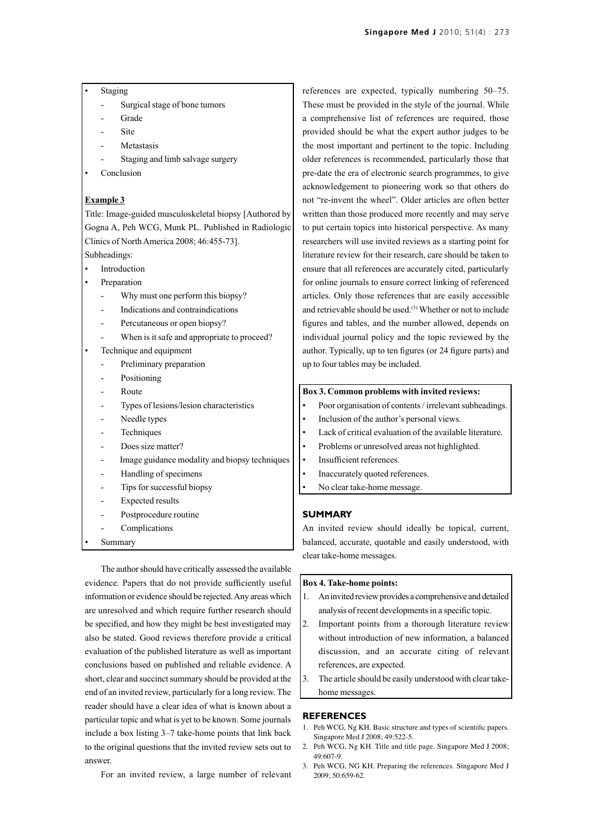#### **Staging**

- Surgical stage of bone tumors
- **Grade**
- Site.
- **Metastasis**
- Staging and limb salvage surgery
- **Conclusion**

## **Example 3**

Title: Image-guided musculoskeletal biopsy [Authored by Gogna A, Peh WCG, Munk PL. Published in Radiologic Clinics of North America 2008; 46:455-73]. Subheadings:

- **Introduction**
- **Preparation** 
	- Why must one perform this biopsy?
	- Indications and contraindications
	- Percutaneous or open biopsy?
	- When is it safe and appropriate to proceed?
- Technique and equipment
	- Preliminary preparation
	- Positioning
	- Route
	- Types of lesions/lesion characteristics
	- Needle types
	- **Techniques**
	- Does size matter?
	- Image guidance modality and biopsy techniques
	- Handling of specimens
	- Tips for successful biopsy
	- Expected results
	- Postprocedure routine
	- **Complications**
- **Summary**

The author should have critically assessed the available evidence. Papers that do not provide sufficiently useful information or evidence should be rejected. Any areas which are unresolved and which require further research should be specified, and how they might be best investigated may also be stated. Good reviews therefore provide a critical evaluation of the published literature as well as important conclusions based on published and reliable evidence. A short, clear and succinct summary should be provided at the end of an invited review, particularly for a long review. The reader should have a clear idea of what is known about a particular topic and what is yet to be known. Some journals include a box listing 3–7 take-home points that link back to the original questions that the invited review sets out to answer.

For an invited review, a large number of relevant

references are expected, typically numbering 50–75. These must be provided in the style of the journal. While a comprehensive list of references are required, those provided should be what the expert author judges to be the most important and pertinent to the topic. Including older references is recommended, particularly those that pre-date the era of electronic search programmes, to give acknowledgement to pioneering work so that others do not "re-invent the wheel". Older articles are often better written than those produced more recently and may serve to put certain topics into historical perspective. As many researchers will use invited reviews as a starting point for literature review for their research, care should be taken to ensure that all references are accurately cited, particularly for online journals to ensure correct linking of referenced articles. Only those references that are easily accessible and retrievable should be used.<sup>(3)</sup> Whether or not to include figures and tables, and the number allowed, depends on individual journal policy and the topic reviewed by the author. Typically, up to ten figures (or 24 figure parts) and up to four tables may be included.

#### **Box 3. Common problems with invited reviews:**

- Poor organisation of contents / irrelevant subheadings.
- Inclusion of the author's personal views.
- Lack of critical evaluation of the available literature.
- Problems or unresolved areas not highlighted.
- Insufficient references.
- Inaccurately quoted references.
- No clear take-home message.

#### **SUMMARY**

An invited review should ideally be topical, current, balanced, accurate, quotable and easily understood, with clear take-home messages.

## **Box 4. Take-home points:**

- 1. An invited review provides a comprehensive and detailed analysis of recent developments in a specific topic.
- 2. Important points from a thorough literature review without introduction of new information, a balanced discussion, and an accurate citing of relevant references, are expected.
- 3. The article should be easily understood with clear takehome messages.

#### **REFERENCES**

- 1. Peh WCG, Ng KH. Basic structure and types of scientific papers. Singapore Med J 2008; 49:522-5.
- 2. Peh WCG, Ng KH. Title and title page. Singapore Med J 2008; 49:607-9.
- 3. Peh WCG, NG KH. Preparing the references. Singapore Med J 2009; 50:659-62.